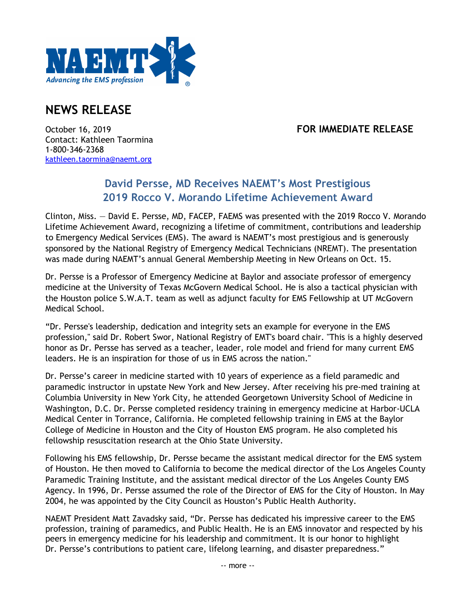

## **NEWS RELEASE**

## October 16, 2019 **FOR IMMEDIATE RELEASE**

Contact: Kathleen Taormina 1-800-346-2368 kathleen.taormina@naemt.org

## **David Persse, MD Receives NAEMT's Most Prestigious 2019 Rocco V. Morando Lifetime Achievement Award**

Clinton, Miss. — David E. Persse, MD, FACEP, FAEMS was presented with the 2019 Rocco V. Morando Lifetime Achievement Award, recognizing a lifetime of commitment, contributions and leadership to Emergency Medical Services (EMS). The award is NAEMT's most prestigious and is generously sponsored by the National Registry of Emergency Medical Technicians (NREMT). The presentation was made during NAEMT's annual General Membership Meeting in New Orleans on Oct. 15.

Dr. Persse is a Professor of Emergency Medicine at Baylor and associate professor of emergency medicine at the University of Texas McGovern Medical School. He is also a tactical physician with the Houston police S.W.A.T. team as well as adjunct faculty for EMS Fellowship at UT McGovern Medical School.

"Dr. Persse's leadership, dedication and integrity sets an example for everyone in the EMS profession," said Dr. Robert Swor, National Registry of EMT's board chair. "This is a highly deserved honor as Dr. Persse has served as a teacher, leader, role model and friend for many current EMS leaders. He is an inspiration for those of us in EMS across the nation."

Dr. Persse's career in medicine started with 10 years of experience as a field paramedic and paramedic instructor in upstate New York and New Jersey. After receiving his pre-med training at Columbia University in New York City, he attended Georgetown University School of Medicine in Washington, D.C. Dr. Persse completed residency training in emergency medicine at Harbor-UCLA Medical Center in Torrance, California. He completed fellowship training in EMS at the Baylor College of Medicine in Houston and the City of Houston EMS program. He also completed his fellowship resuscitation research at the Ohio State University.

Following his EMS fellowship, Dr. Persse became the assistant medical director for the EMS system of Houston. He then moved to California to become the medical director of the Los Angeles County Paramedic Training Institute, and the assistant medical director of the Los Angeles County EMS Agency. In 1996, Dr. Persse assumed the role of the Director of EMS for the City of Houston. In May 2004, he was appointed by the City Council as Houston's Public Health Authority.

NAEMT President Matt Zavadsky said, "Dr. Persse has dedicated his impressive career to the EMS profession, training of paramedics, and Public Health. He is an EMS innovator and respected by his peers in emergency medicine for his leadership and commitment. It is our honor to highlight Dr. Persse's contributions to patient care, lifelong learning, and disaster preparedness."